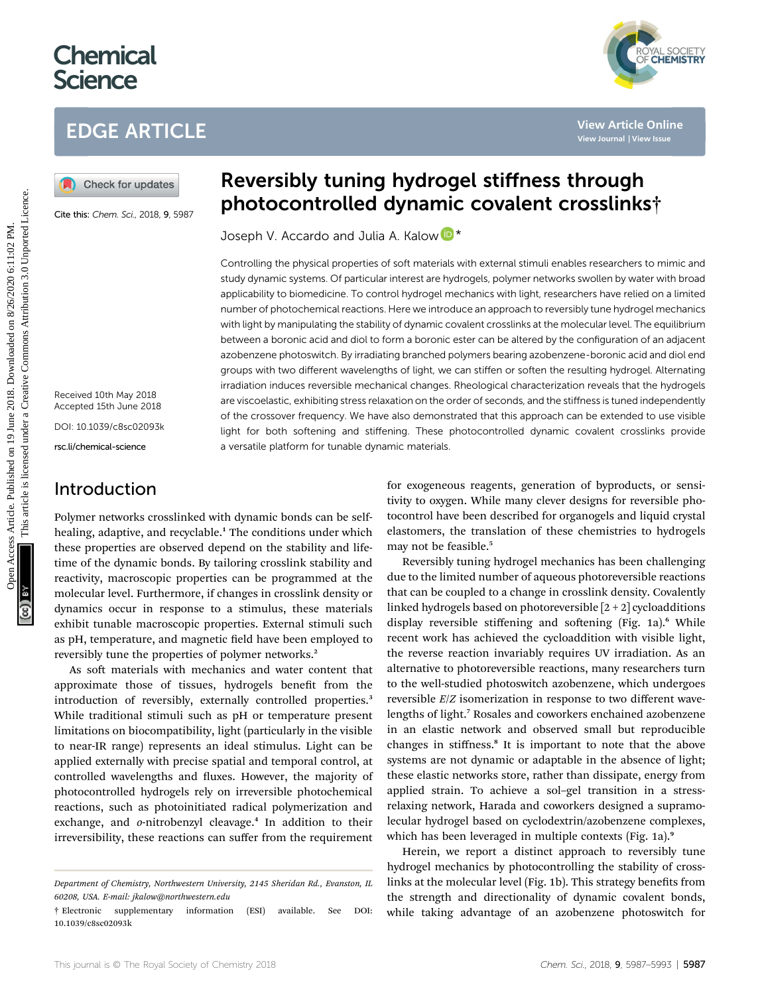# **Chemical Science**

# EDGE ARTICLE

Cite this: Chem. Sci., 2018, 9, 5987

Received 10th May 2018 Accepted 15th June 2018 DOI: 10.1039/c8sc02093k rsc.li/chemical-science

### Introduction

# Reversibly tuning hydrogel stiffness through photocontrolled dynamic covalent crosslinks†

Joseph V. Accardo and Julia A. Kalow D<sup>\*</sup>

Controlling the physical properties of soft materials with external stimuli enables researchers to mimic and study dynamic systems. Of particular interest are hydrogels, polymer networks swollen by water with broad applicability to biomedicine. To control hydrogel mechanics with light, researchers have relied on a limited number of photochemical reactions. Here we introduce an approach to reversibly tune hydrogel mechanics with light by manipulating the stability of dynamic covalent crosslinks at the molecular level. The equilibrium between a boronic acid and diol to form a boronic ester can be altered by the configuration of an adjacent azobenzene photoswitch. By irradiating branched polymers bearing azobenzene-boronic acid and diol end groups with two different wavelengths of light, we can stiffen or soften the resulting hydrogel. Alternating irradiation induces reversible mechanical changes. Rheological characterization reveals that the hydrogels are viscoelastic, exhibiting stress relaxation on the order of seconds, and the stiffness is tuned independently of the crossover frequency. We have also demonstrated that this approach can be extended to use visible light for both softening and stiffening. These photocontrolled dynamic covalent crosslinks provide a versatile platform for tunable dynamic materials. **EDGE ARTICLE**<br> **(a)** Check for updates <br> **EVERY ACCOUNTIMENT IS AND ACCOUNT COVALISE CONSULTS (SECULT)<br>
Cover this change at 2018 and 2019 <b>DROCOUNTIMENT** and the covalidation of the enterpret is and 2019 and 2019 and 20

Polymer networks crosslinked with dynamic bonds can be selfhealing, adaptive, and recyclable.<sup>1</sup> The conditions under which these properties are observed depend on the stability and lifetime of the dynamic bonds. By tailoring crosslink stability and reactivity, macroscopic properties can be programmed at the molecular level. Furthermore, if changes in crosslink density or dynamics occur in response to a stimulus, these materials exhibit tunable macroscopic properties. External stimuli such as pH, temperature, and magnetic field have been employed to reversibly tune the properties of polymer networks.<sup>2</sup>

As soft materials with mechanics and water content that approximate those of tissues, hydrogels benefit from the introduction of reversibly, externally controlled properties.<sup>3</sup> While traditional stimuli such as pH or temperature present limitations on biocompatibility, light (particularly in the visible to near-IR range) represents an ideal stimulus. Light can be applied externally with precise spatial and temporal control, at controlled wavelengths and fluxes. However, the majority of photocontrolled hydrogels rely on irreversible photochemical reactions, such as photoinitiated radical polymerization and exchange, and o-nitrobenzyl cleavage.<sup>4</sup> In addition to their irreversibility, these reactions can suffer from the requirement for exogeneous reagents, generation of byproducts, or sensitivity to oxygen. While many clever designs for reversible photocontrol have been described for organogels and liquid crystal elastomers, the translation of these chemistries to hydrogels may not be feasible.<sup>5</sup>

Reversibly tuning hydrogel mechanics has been challenging due to the limited number of aqueous photoreversible reactions that can be coupled to a change in crosslink density. Covalently linked hydrogels based on photoreversible  $[2 + 2]$  cycloadditions display reversible stiffening and softening (Fig. 1a).<sup>6</sup> While recent work has achieved the cycloaddition with visible light, the reverse reaction invariably requires UV irradiation. As an alternative to photoreversible reactions, many researchers turn to the well-studied photoswitch azobenzene, which undergoes reversible E/Z isomerization in response to two different wavelengths of light.<sup>7</sup> Rosales and coworkers enchained azobenzene in an elastic network and observed small but reproducible changes in stiffness.<sup>8</sup> It is important to note that the above systems are not dynamic or adaptable in the absence of light; these elastic networks store, rather than dissipate, energy from applied strain. To achieve a sol–gel transition in a stressrelaxing network, Harada and coworkers designed a supramolecular hydrogel based on cyclodextrin/azobenzene complexes, which has been leveraged in multiple contexts (Fig. 1a).<sup>9</sup>

Herein, we report a distinct approach to reversibly tune hydrogel mechanics by photocontrolling the stability of crosslinks at the molecular level (Fig. 1b). This strategy benefits from the strength and directionality of dynamic covalent bonds, while taking advantage of an azobenzene photoswitch for



Department of Chemistry, Northwestern University, 2145 Sheridan Rd., Evanston, IL 60208, USA. E-mail: jkalow@northwestern.edu

<sup>†</sup> Electronic supplementary information (ESI) available. See DOI: 10.1039/c8sc02093k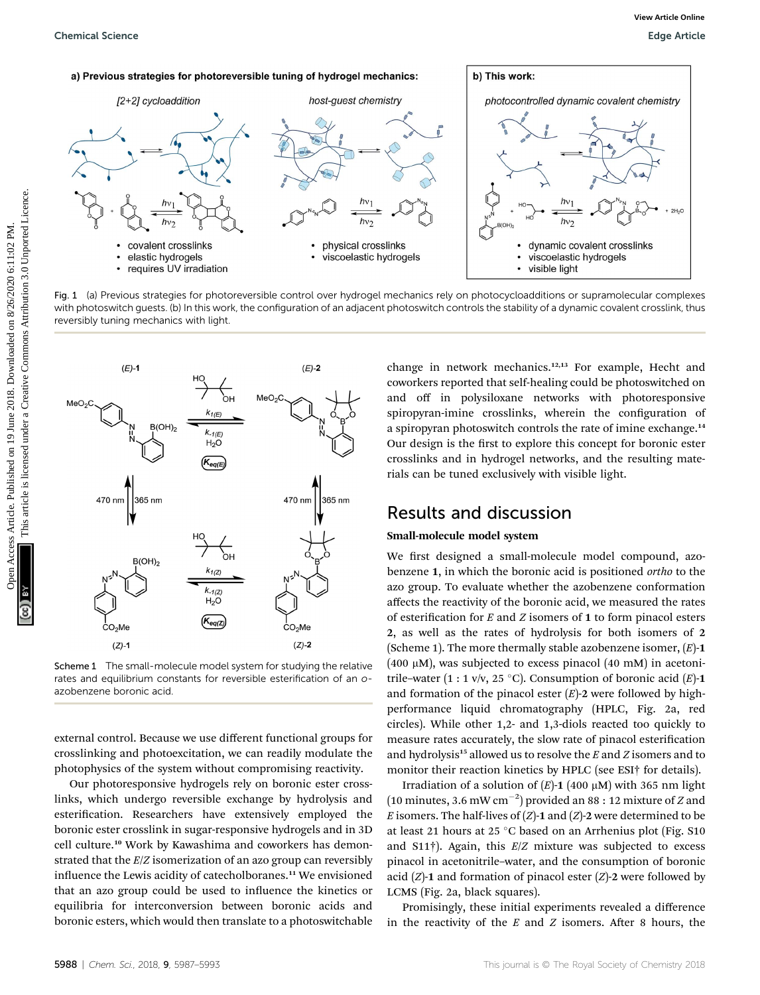





Scheme 1 The small-molecule model system for studying the relative rates and equilibrium constants for reversible esterification of an oazobenzene boronic acid.

external control. Because we use different functional groups for crosslinking and photoexcitation, we can readily modulate the photophysics of the system without compromising reactivity.

Our photoresponsive hydrogels rely on boronic ester crosslinks, which undergo reversible exchange by hydrolysis and esterification. Researchers have extensively employed the boronic ester crosslink in sugar-responsive hydrogels and in 3D cell culture.<sup>10</sup> Work by Kawashima and coworkers has demonstrated that the E/Z isomerization of an azo group can reversibly influence the Lewis acidity of catecholboranes.<sup>11</sup> We envisioned that an azo group could be used to influence the kinetics or equilibria for interconversion between boronic acids and boronic esters, which would then translate to a photoswitchable

change in network mechanics.<sup>12,13</sup> For example, Hecht and coworkers reported that self-healing could be photoswitched on and off in polysiloxane networks with photoresponsive spiropyran-imine crosslinks, wherein the configuration of a spiropyran photoswitch controls the rate of imine exchange.<sup>14</sup> Our design is the first to explore this concept for boronic ester crosslinks and in hydrogel networks, and the resulting materials can be tuned exclusively with visible light.

### Results and discussion

### Small-molecule model system

We first designed a small-molecule model compound, azobenzene 1, in which the boronic acid is positioned ortho to the azo group. To evaluate whether the azobenzene conformation affects the reactivity of the boronic acid, we measured the rates of esterification for  $E$  and  $Z$  isomers of 1 to form pinacol esters 2, as well as the rates of hydrolysis for both isomers of 2 (Scheme 1). The more thermally stable azobenzene isomer,  $(E)$ -1 (400  $\mu$ M), was subjected to excess pinacol (40 mM) in acetonitrile–water (1 : 1 v/v, 25 °C). Consumption of boronic acid  $(E)$ -1 and formation of the pinacol ester  $(E)$ -2 were followed by highperformance liquid chromatography (HPLC, Fig. 2a, red circles). While other 1,2- and 1,3-diols reacted too quickly to measure rates accurately, the slow rate of pinacol esterification and hydrolysis<sup>15</sup> allowed us to resolve the  $E$  and  $Z$  isomers and to monitor their reaction kinetics by HPLC (see ESI† for details).

Irradiation of a solution of  $(E)$ -1 (400  $\mu$ M) with 365 nm light (10 minutes, 3.6 mW cm<sup>-2</sup>) provided an 88 : 12 mixture of Z and E isomers. The half-lives of  $(Z)$ -1 and  $(Z)$ -2 were determined to be at least 21 hours at 25  $\degree$ C based on an Arrhenius plot (Fig. S10 and  $S11\dagger$ ). Again, this  $E/Z$  mixture was subjected to excess pinacol in acetonitrile–water, and the consumption of boronic acid  $(Z)$ -1 and formation of pinacol ester  $(Z)$ -2 were followed by LCMS (Fig. 2a, black squares).

Promisingly, these initial experiments revealed a difference in the reactivity of the  $E$  and  $Z$  isomers. After 8 hours, the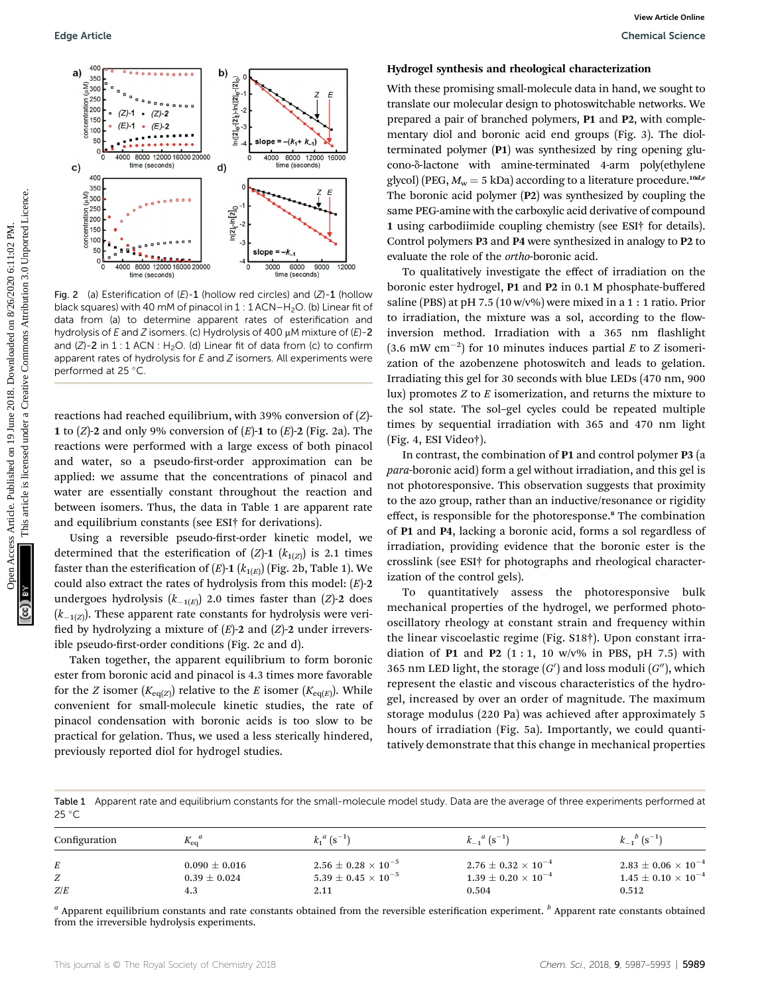

Fig. 2 (a) Esterification of  $(E)$ -1 (hollow red circles) and  $(Z)$ -1 (hollow black squares) with 40 mM of pinacol in  $1:1$  ACN–H<sub>2</sub>O. (b) Linear fit of data from (a) to determine apparent rates of esterification and hydrolysis of E and Z isomers. (c) Hydrolysis of 400  $\mu$ M mixture of (E)-2 and  $(Z)$ -2 in 1 : 1 ACN : H<sub>2</sub>O. (d) Linear fit of data from (c) to confirm apparent rates of hydrolysis for E and Z isomers. All experiments were performed at 25 °C.

reactions had reached equilibrium, with 39% conversion of (Z)- 1 to  $(Z)$ -2 and only 9% conversion of  $(E)$ -1 to  $(E)$ -2 (Fig. 2a). The reactions were performed with a large excess of both pinacol and water, so a pseudo-first-order approximation can be applied: we assume that the concentrations of pinacol and water are essentially constant throughout the reaction and between isomers. Thus, the data in Table 1 are apparent rate and equilibrium constants (see ESI† for derivations).

Using a reversible pseudo-first-order kinetic model, we determined that the esterification of  $(Z)$ -1  $(k_{1(Z)})$  is 2.1 times faster than the esterification of  $(E)$ -1  $(k_{1(E)})$  (Fig. 2b, Table 1). We could also extract the rates of hydrolysis from this model:  $(E)$ -2 undergoes hydrolysis  $(k_{-1(E)})$  2.0 times faster than (Z)-2 does  $(k_{-1(Z)})$ . These apparent rate constants for hydrolysis were verified by hydrolyzing a mixture of  $(E)$ -2 and  $(Z)$ -2 under irreversible pseudo-first-order conditions (Fig. 2c and d).

Taken together, the apparent equilibrium to form boronic ester from boronic acid and pinacol is 4.3 times more favorable for the Z isomer  $(K_{eq(Z)})$  relative to the E isomer  $(K_{eq(E)})$ . While convenient for small-molecule kinetic studies, the rate of pinacol condensation with boronic acids is too slow to be practical for gelation. Thus, we used a less sterically hindered, previously reported diol for hydrogel studies.

#### Hydrogel synthesis and rheological characterization

With these promising small-molecule data in hand, we sought to translate our molecular design to photoswitchable networks. We prepared a pair of branched polymers, P1 and P2, with complementary diol and boronic acid end groups (Fig. 3). The diolterminated polymer (P1) was synthesized by ring opening glucono- $\delta$ -lactone with amine-terminated 4-arm poly(ethylene glycol) (PEG,  $M_w = 5$  kDa) according to a literature procedure.<sup>10d,e</sup> The boronic acid polymer (P2) was synthesized by coupling the same PEG-amine with the carboxylic acid derivative of compound 1 using carbodiimide coupling chemistry (see ESI† for details). Control polymers P3 and P4 were synthesized in analogy to P2 to evaluate the role of the ortho-boronic acid.

To qualitatively investigate the effect of irradiation on the boronic ester hydrogel, P1 and P2 in 0.1 M phosphate-buffered saline (PBS) at pH 7.5 (10 w/v%) were mixed in a 1 : 1 ratio. Prior to irradiation, the mixture was a sol, according to the flowinversion method. Irradiation with a 365 nm flashlight  $(3.6 \text{ mW cm}^{-2})$  for 10 minutes induces partial E to Z isomerization of the azobenzene photoswitch and leads to gelation. Irradiating this gel for 30 seconds with blue LEDs (470 nm, 900 lux) promotes  $Z$  to  $E$  isomerization, and returns the mixture to the sol state. The sol–gel cycles could be repeated multiple times by sequential irradiation with 365 and 470 nm light (Fig. 4, ESI Video†).

In contrast, the combination of P1 and control polymer P3 (a para-boronic acid) form a gel without irradiation, and this gel is not photoresponsive. This observation suggests that proximity to the azo group, rather than an inductive/resonance or rigidity effect, is responsible for the photoresponse.<sup>8</sup> The combination of P1 and P4, lacking a boronic acid, forms a sol regardless of irradiation, providing evidence that the boronic ester is the crosslink (see ESI† for photographs and rheological characterization of the control gels).

To quantitatively assess the photoresponsive bulk mechanical properties of the hydrogel, we performed photooscillatory rheology at constant strain and frequency within the linear viscoelastic regime (Fig. S18†). Upon constant irradiation of P1 and P2  $(1:1, 10 \text{ w/v\%}$  in PBS, pH 7.5) with 365 nm LED light, the storage  $(G^{\prime})$  and loss moduli  $(G^{\prime\prime})$ , which represent the elastic and viscous characteristics of the hydrogel, increased by over an order of magnitude. The maximum storage modulus (220 Pa) was achieved after approximately 5 hours of irradiation (Fig. 5a). Importantly, we could quantitatively demonstrate that this change in mechanical properties

Table 1 Apparent rate and equilibrium constants for the small-molecule model study. Data are the average of three experiments performed at  $25^{\circ}$ C

| Configuration | $K_{eq}^{\mu}$    | $k_1^a$ (s <sup>-1</sup> )     | $k_{-1}^a$ (s <sup>-1</sup> )  | $k_{-1}{}^{b}$ (s <sup>-1</sup> ) |
|---------------|-------------------|--------------------------------|--------------------------------|-----------------------------------|
| Z/E           | $0.090 \pm 0.016$ | $2.56 \pm 0.28 \times 10^{-5}$ | $2.76 \pm 0.32 \times 10^{-4}$ | $2.83 \pm 0.06 \times 10^{-4}$    |
|               | $0.39 \pm 0.024$  | $5.39 \pm 0.45 \times 10^{-5}$ | $1.39 \pm 0.20 \times 10^{-4}$ | $1.45 \pm 0.10 \times 10^{-4}$    |
|               | 4.3               | 2.11                           | 0.504                          | 0.512                             |

 $a$  Apparent equilibrium constants and rate constants obtained from the reversible esterification experiment.  $b$  Apparent rate constants obtained from the irreversible hydrolysis experiments.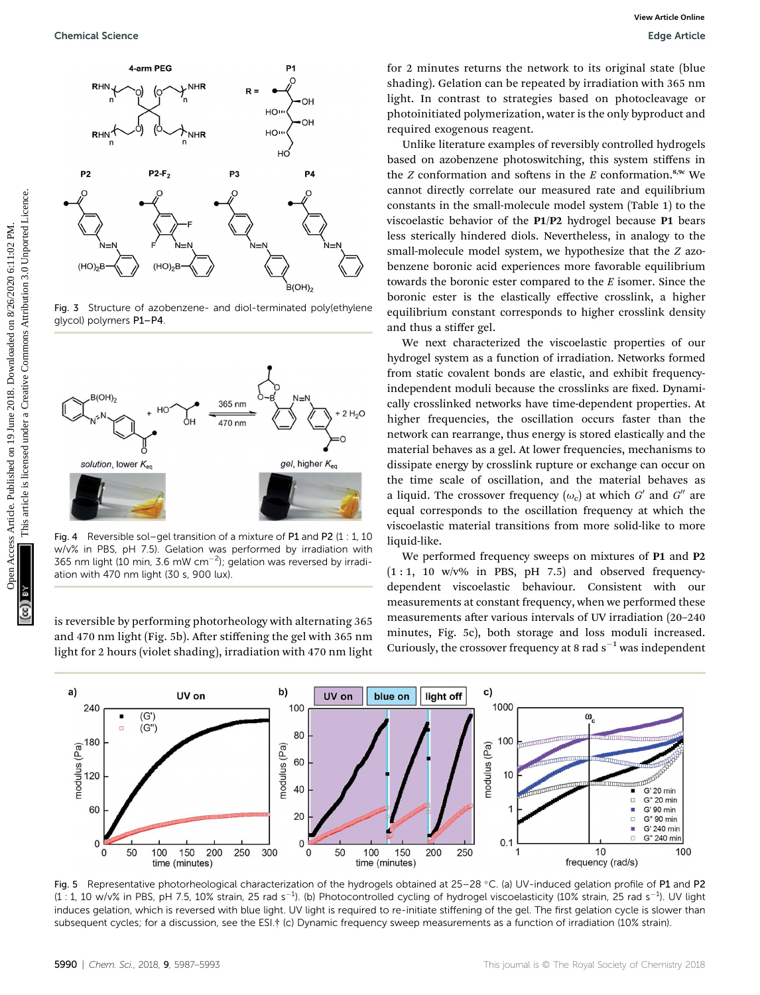

Fig. 3 Structure of azobenzene- and diol-terminated poly(ethylene glycol) polymers P1–P4.



Fig. 4 Reversible sol–gel transition of a mixture of P1 and P2 (1 : 1, 10 w/v% in PBS, pH 7.5). Gelation was performed by irradiation with 365 nm light (10 min, 3.6 mW cm $^{-2}$ ); gelation was reversed by irradiation with 470 nm light (30 s, 900 lux).

is reversible by performing photorheology with alternating 365 and 470 nm light (Fig. 5b). After stiffening the gel with 365 nm light for 2 hours (violet shading), irradiation with 470 nm light for 2 minutes returns the network to its original state (blue shading). Gelation can be repeated by irradiation with 365 nm light. In contrast to strategies based on photocleavage or photoinitiated polymerization, water is the only byproduct and required exogenous reagent.

Unlike literature examples of reversibly controlled hydrogels based on azobenzene photoswitching, this system stiffens in the  $Z$  conformation and softens in the  $E$  conformation.<sup>8,9c</sup> We cannot directly correlate our measured rate and equilibrium constants in the small-molecule model system (Table 1) to the viscoelastic behavior of the P1/P2 hydrogel because P1 bears less sterically hindered diols. Nevertheless, in analogy to the small-molecule model system, we hypothesize that the Z azobenzene boronic acid experiences more favorable equilibrium towards the boronic ester compared to the  $E$  isomer. Since the boronic ester is the elastically effective crosslink, a higher equilibrium constant corresponds to higher crosslink density and thus a stiffer gel.

We next characterized the viscoelastic properties of our hydrogel system as a function of irradiation. Networks formed from static covalent bonds are elastic, and exhibit frequencyindependent moduli because the crosslinks are fixed. Dynamically crosslinked networks have time-dependent properties. At higher frequencies, the oscillation occurs faster than the network can rearrange, thus energy is stored elastically and the material behaves as a gel. At lower frequencies, mechanisms to dissipate energy by crosslink rupture or exchange can occur on the time scale of oscillation, and the material behaves as a liquid. The crossover frequency  $(\omega_c)$  at which G' and G'' are equal corresponds to the oscillation frequency at which the viscoelastic material transitions from more solid-like to more liquid-like.

We performed frequency sweeps on mixtures of P1 and P2  $(1:1, 10 \text{ w/v\%}$  in PBS, pH 7.5) and observed frequencydependent viscoelastic behaviour. Consistent with our measurements at constant frequency, when we performed these measurements after various intervals of UV irradiation (20-240) minutes, Fig. 5c), both storage and loss moduli increased. Curiously, the crossover frequency at 8 rad  $s^{-1}$  was independent



Fig. 5 Representative photorheological characterization of the hydrogels obtained at  $25-28$  °C. (a) UV-induced gelation profile of P1 and P2  $(1:1, 10 \text{ w/v\% in PBS, pH 7.5, 10\% strain, 25 \text{ rad s}^{-1})$ . (b) Photocontrolled cycling of hydrogel viscoelasticity (10% strain, 25 rad s<sup>-1</sup>). UV light induces gelation, which is reversed with blue light. UV light is required to re-initiate stiffening of the gel. The first gelation cycle is slower than subsequent cycles; for a discussion, see the ESI.† (c) Dynamic frequency sweep measurements as a function of irradiation (10% strain).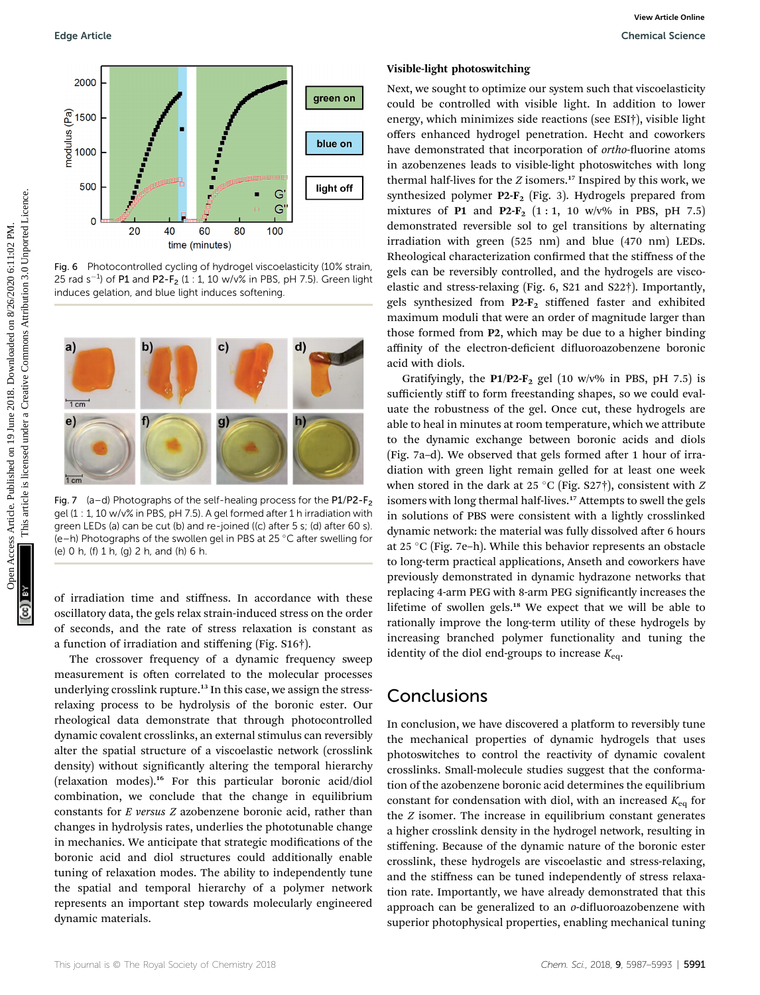

Fig. 6 Photocontrolled cycling of hydrogel viscoelasticity (10% strain, 25 rad s $^{-1}$ ) of P1 and P2-F<sub>2</sub> (1 : 1, 10 w/v% in PBS, pH 7.5). Green light induces gelation, and blue light induces softening.



Fig. 7 (a–d) Photographs of the self-healing process for the  $P1/P2-F_2$ gel (1 : 1, 10 w/v% in PBS, pH 7.5). A gel formed after 1 h irradiation with green LEDs (a) can be cut (b) and re-joined ((c) after 5 s; (d) after 60 s). (e–h) Photographs of the swollen gel in PBS at 25  $^{\circ}$ C after swelling for (e) 0 h, (f) 1 h, (g) 2 h, and (h) 6 h.

of irradiation time and stiffness. In accordance with these oscillatory data, the gels relax strain-induced stress on the order of seconds, and the rate of stress relaxation is constant as a function of irradiation and stiffening (Fig. S16†).

The crossover frequency of a dynamic frequency sweep measurement is often correlated to the molecular processes underlying crosslink rupture.<sup>13</sup> In this case, we assign the stressrelaxing process to be hydrolysis of the boronic ester. Our rheological data demonstrate that through photocontrolled dynamic covalent crosslinks, an external stimulus can reversibly alter the spatial structure of a viscoelastic network (crosslink density) without significantly altering the temporal hierarchy (relaxation modes).<sup>16</sup> For this particular boronic acid/diol combination, we conclude that the change in equilibrium constants for E versus Z azobenzene boronic acid, rather than changes in hydrolysis rates, underlies the phototunable change in mechanics. We anticipate that strategic modifications of the boronic acid and diol structures could additionally enable tuning of relaxation modes. The ability to independently tune the spatial and temporal hierarchy of a polymer network represents an important step towards molecularly engineered dynamic materials.

#### Visible-light photoswitching

Next, we sought to optimize our system such that viscoelasticity could be controlled with visible light. In addition to lower energy, which minimizes side reactions (see ESI†), visible light offers enhanced hydrogel penetration. Hecht and coworkers have demonstrated that incorporation of ortho-fluorine atoms in azobenzenes leads to visible-light photoswitches with long thermal half-lives for the  $Z$  isomers.<sup>17</sup> Inspired by this work, we synthesized polymer  $P2-F_2$  (Fig. 3). Hydrogels prepared from mixtures of P1 and P2- $F_2$  (1:1, 10 w/v% in PBS, pH 7.5) demonstrated reversible sol to gel transitions by alternating irradiation with green (525 nm) and blue (470 nm) LEDs. Rheological characterization confirmed that the stiffness of the gels can be reversibly controlled, and the hydrogels are viscoelastic and stress-relaxing (Fig. 6, S21 and S22†). Importantly, gels synthesized from P2-F2 stiffened faster and exhibited maximum moduli that were an order of magnitude larger than those formed from P2, which may be due to a higher binding affinity of the electron-deficient difluoroazobenzene boronic acid with diols. Cope Article. **Comparison**<br>  $\frac{1}{2}$  (1500)<br>  $\frac{1}{2}$  (1500)<br>  $\frac{1}{2}$  (1500)<br>  $\frac{1}{2}$  (1500)<br>  $\frac{1}{2}$  (1500)<br>  $\frac{1}{2}$  (1500)<br>  $\frac{1}{2}$  (1500)<br>  $\frac{1}{2}$  (1500)<br>  $\frac{1}{2}$  (1500)<br>  $\frac{1}{2}$  (1600)<br>  $\frac{1}{2}$  (16

Gratifyingly, the  $P1/P2-F_2$  gel (10 w/v% in PBS, pH 7.5) is sufficiently stiff to form freestanding shapes, so we could evaluate the robustness of the gel. Once cut, these hydrogels are able to heal in minutes at room temperature, which we attribute to the dynamic exchange between boronic acids and diols (Fig. 7a-d). We observed that gels formed after 1 hour of irradiation with green light remain gelled for at least one week when stored in the dark at 25 °C (Fig. S27†), consistent with  $Z$ isomers with long thermal half-lives.<sup>17</sup> Attempts to swell the gels in solutions of PBS were consistent with a lightly crosslinked dynamic network: the material was fully dissolved after 6 hours at 25 °C (Fig. 7e–h). While this behavior represents an obstacle to long-term practical applications, Anseth and coworkers have previously demonstrated in dynamic hydrazone networks that replacing 4-arm PEG with 8-arm PEG signicantly increases the lifetime of swollen gels.<sup>18</sup> We expect that we will be able to rationally improve the long-term utility of these hydrogels by increasing branched polymer functionality and tuning the identity of the diol end-groups to increase  $K_{eq}$ .

# Conclusions

In conclusion, we have discovered a platform to reversibly tune the mechanical properties of dynamic hydrogels that uses photoswitches to control the reactivity of dynamic covalent crosslinks. Small-molecule studies suggest that the conformation of the azobenzene boronic acid determines the equilibrium constant for condensation with diol, with an increased  $K_{eq}$  for the Z isomer. The increase in equilibrium constant generates a higher crosslink density in the hydrogel network, resulting in stiffening. Because of the dynamic nature of the boronic ester crosslink, these hydrogels are viscoelastic and stress-relaxing, and the stiffness can be tuned independently of stress relaxation rate. Importantly, we have already demonstrated that this approach can be generalized to an  $o$ -difluoroazobenzene with superior photophysical properties, enabling mechanical tuning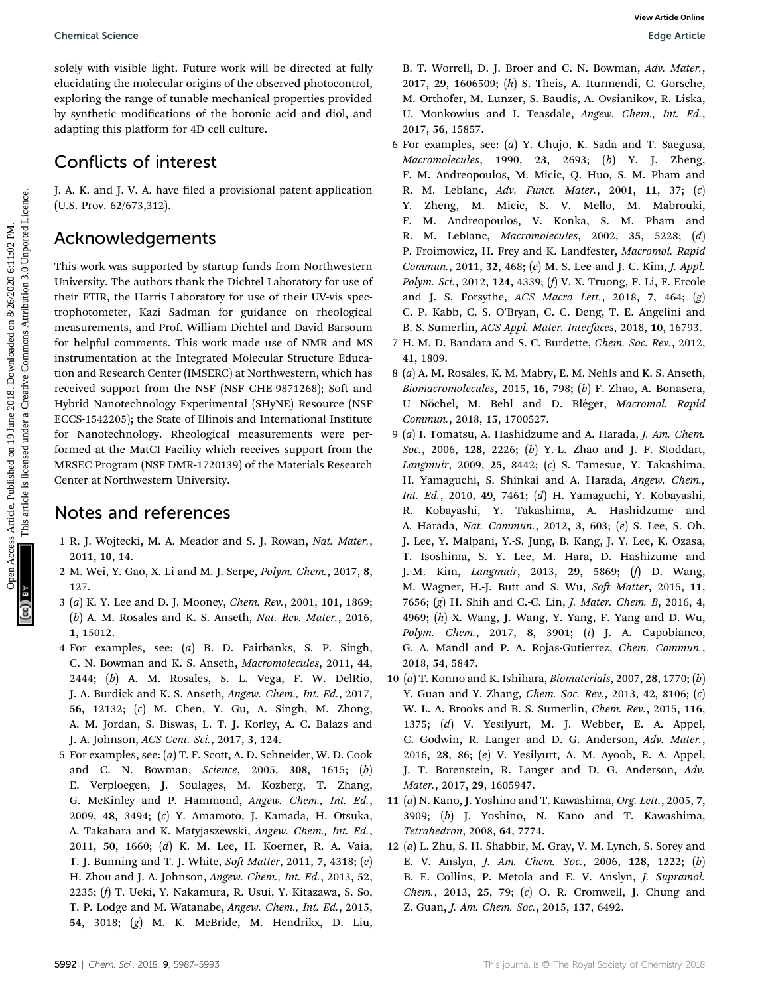Chemical Science Edge Article

solely with visible light. Future work will be directed at fully elucidating the molecular origins of the observed photocontrol, exploring the range of tunable mechanical properties provided by synthetic modifications of the boronic acid and diol, and adapting this platform for 4D cell culture.

# Conflicts of interest

J. A. K. and J. V. A. have filed a provisional patent application (U.S. Prov. 62/673,312).

# Acknowledgements

This work was supported by startup funds from Northwestern University. The authors thank the Dichtel Laboratory for use of their FTIR, the Harris Laboratory for use of their UV-vis spectrophotometer, Kazi Sadman for guidance on rheological measurements, and Prof. William Dichtel and David Barsoum for helpful comments. This work made use of NMR and MS instrumentation at the Integrated Molecular Structure Education and Research Center (IMSERC) at Northwestern, which has received support from the NSF (NSF CHE-9871268); Soft and Hybrid Nanotechnology Experimental (SHyNE) Resource (NSF ECCS-1542205); the State of Illinois and International Institute for Nanotechnology. Rheological measurements were performed at the MatCI Facility which receives support from the MRSEC Program (NSF DMR-1720139) of the Materials Research Center at Northwestern University. Chemical Science<br>
State Article on Herica Control (1988) and the second of the sheeted phonon (1988) and the second (1988) and the second under the published on the second under the second under a creative Concrete is lic

# Notes and references

- 1 R. J. Wojtecki, M. A. Meador and S. J. Rowan, Nat. Mater., 2011, 10, 14.
- 2 M. Wei, Y. Gao, X. Li and M. J. Serpe, Polym. Chem., 2017, 8, 127.
- 3 (a) K. Y. Lee and D. J. Mooney, Chem. Rev., 2001, 101, 1869; (b) A. M. Rosales and K. S. Anseth, Nat. Rev. Mater., 2016, 1, 15012.
- 4 For examples, see: (a) B. D. Fairbanks, S. P. Singh, C. N. Bowman and K. S. Anseth, Macromolecules, 2011, 44, 2444; (b) A. M. Rosales, S. L. Vega, F. W. DelRio, J. A. Burdick and K. S. Anseth, Angew. Chem., Int. Ed., 2017, 56, 12132; (c) M. Chen, Y. Gu, A. Singh, M. Zhong, A. M. Jordan, S. Biswas, L. T. J. Korley, A. C. Balazs and J. A. Johnson, ACS Cent. Sci., 2017, 3, 124.
- 5 For examples, see: (a) T. F. Scott, A. D. Schneider, W. D. Cook and C. N. Bowman, Science, 2005, 308, 1615; (b) E. Verploegen, J. Soulages, M. Kozberg, T. Zhang, G. McKinley and P. Hammond, Angew. Chem., Int. Ed., 2009, 48, 3494; (c) Y. Amamoto, J. Kamada, H. Otsuka, A. Takahara and K. Matyjaszewski, Angew. Chem., Int. Ed., 2011, 50, 1660; (d) K. M. Lee, H. Koerner, R. A. Vaia, T. J. Bunning and T. J. White, Soft Matter, 2011, 7, 4318; (e) H. Zhou and J. A. Johnson, Angew. Chem., Int. Ed., 2013, 52, 2235; (f) T. Ueki, Y. Nakamura, R. Usui, Y. Kitazawa, S. So, T. P. Lodge and M. Watanabe, Angew. Chem., Int. Ed., 2015, 54, 3018; (g) M. K. McBride, M. Hendrikx, D. Liu,

B. T. Worrell, D. J. Broer and C. N. Bowman, Adv. Mater., 2017, 29, 1606509; (h) S. Theis, A. Iturmendi, C. Gorsche, M. Orthofer, M. Lunzer, S. Baudis, A. Ovsianikov, R. Liska, U. Monkowius and I. Teasdale, Angew. Chem., Int. Ed., 2017, 56, 15857.

- 6 For examples, see: (a) Y. Chujo, K. Sada and T. Saegusa, Macromolecules, 1990, 23, 2693; (b) Y. J. Zheng, F. M. Andreopoulos, M. Micic, Q. Huo, S. M. Pham and R. M. Leblanc, Adv. Funct. Mater., 2001, 11, 37; (c) Y. Zheng, M. Micic, S. V. Mello, M. Mabrouki, F. M. Andreopoulos, V. Konka, S. M. Pham and R. M. Leblanc, Macromolecules, 2002, 35, 5228; (d) P. Froimowicz, H. Frey and K. Landfester, Macromol. Rapid Commun., 2011, 32, 468; (e) M. S. Lee and J. C. Kim, J. Appl. Polym. Sci., 2012, 124, 4339; (f) V. X. Truong, F. Li, F. Ercole and J. S. Forsythe, ACS Macro Lett., 2018, 7, 464; (g) C. P. Kabb, C. S. O'Bryan, C. C. Deng, T. E. Angelini and B. S. Sumerlin, ACS Appl. Mater. Interfaces, 2018, 10, 16793.
- 7 H. M. D. Bandara and S. C. Burdette, Chem. Soc. Rev., 2012, 41, 1809.
- 8 (a) A. M. Rosales, K. M. Mabry, E. M. Nehls and K. S. Anseth, Biomacromolecules, 2015, 16, 798; (b) F. Zhao, A. Bonasera, U Nöchel, M. Behl and D. Bléger, Macromol. Rapid Commun., 2018, 15, 1700527.
- 9 (a) I. Tomatsu, A. Hashidzume and A. Harada, J. Am. Chem. Soc., 2006, 128, 2226; (b) Y.-L. Zhao and J. F. Stoddart, Langmuir, 2009, 25, 8442; (c) S. Tamesue, Y. Takashima, H. Yamaguchi, S. Shinkai and A. Harada, Angew. Chem., Int. Ed., 2010, 49, 7461; (d) H. Yamaguchi, Y. Kobayashi, R. Kobayashi, Y. Takashima, A. Hashidzume and A. Harada, Nat. Commun., 2012, 3, 603; (e) S. Lee, S. Oh, J. Lee, Y. Malpani, Y.-S. Jung, B. Kang, J. Y. Lee, K. Ozasa, T. Isoshima, S. Y. Lee, M. Hara, D. Hashizume and J.-M. Kim, Langmuir, 2013, 29, 5869; (f) D. Wang, M. Wagner, H.-J. Butt and S. Wu, Soft Matter, 2015, 11, 7656; (g) H. Shih and C.-C. Lin, J. Mater. Chem. B, 2016, 4, 4969; (h) X. Wang, J. Wang, Y. Yang, F. Yang and D. Wu, Polym. Chem., 2017, 8, 3901; (i) J. A. Capobianco, G. A. Mandl and P. A. Rojas-Gutierrez, Chem. Commun., 2018, 54, 5847.
- 10 (a) T. Konno and K. Ishihara, Biomaterials, 2007, 28, 1770; (b) Y. Guan and Y. Zhang, Chem. Soc. Rev., 2013, 42, 8106; (c) W. L. A. Brooks and B. S. Sumerlin, Chem. Rev., 2015, 116, 1375; (d) V. Yesilyurt, M. J. Webber, E. A. Appel, C. Godwin, R. Langer and D. G. Anderson, Adv. Mater., 2016, 28, 86; (e) V. Yesilyurt, A. M. Ayoob, E. A. Appel, J. T. Borenstein, R. Langer and D. G. Anderson, Adv. Mater., 2017, 29, 1605947.
- 11 (a) N. Kano, J. Yoshino and T. Kawashima, Org. Lett., 2005, 7, 3909; (b) J. Yoshino, N. Kano and T. Kawashima, Tetrahedron, 2008, 64, 7774.
- 12 (a) L. Zhu, S. H. Shabbir, M. Gray, V. M. Lynch, S. Sorey and E. V. Anslyn, J. Am. Chem. Soc., 2006, 128, 1222; (b) B. E. Collins, P. Metola and E. V. Anslyn, J. Supramol. Chem., 2013, 25, 79; (c) O. R. Cromwell, J. Chung and Z. Guan, J. Am. Chem. Soc., 2015, 137, 6492.